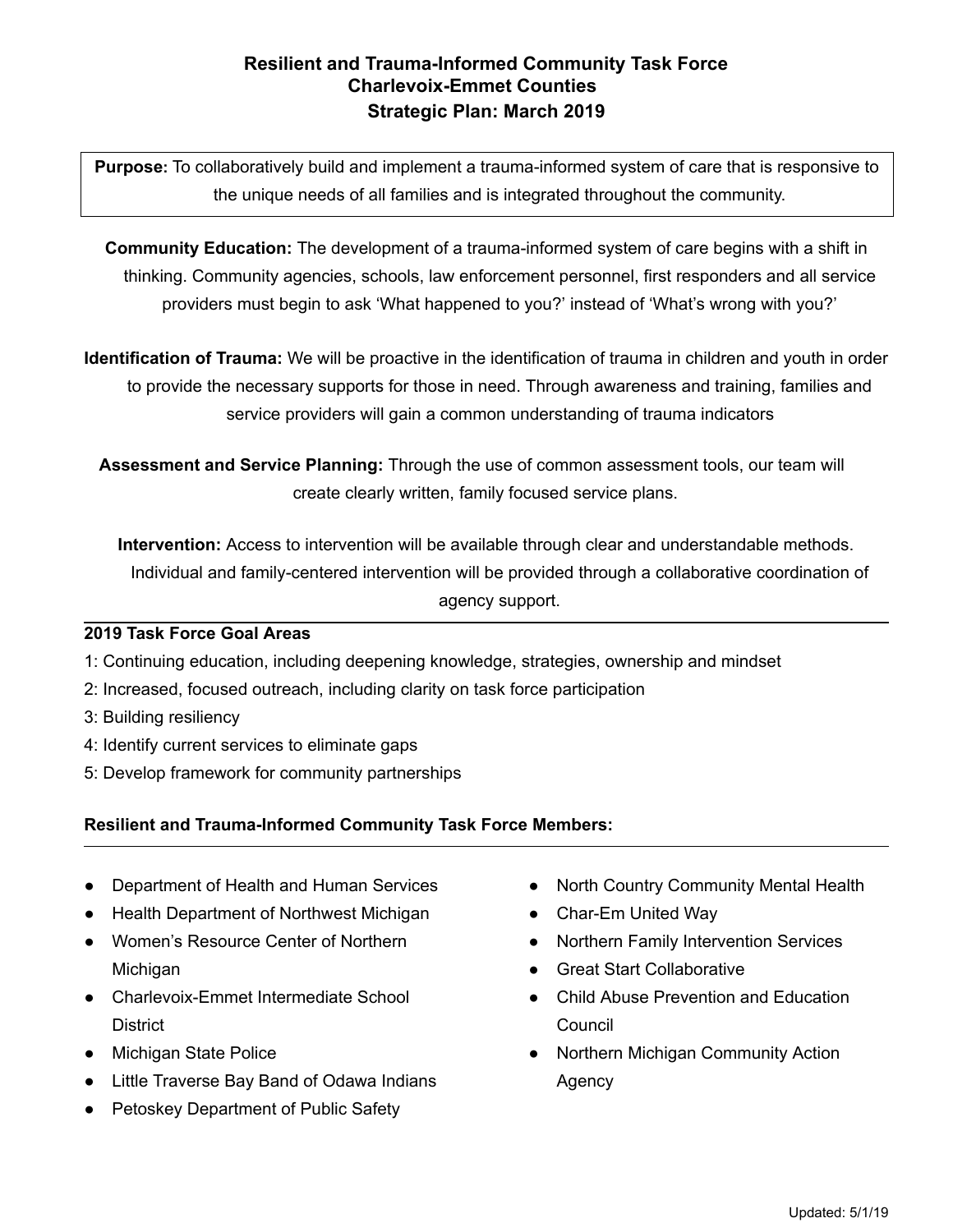# **Resilient and Trauma-Informed Community Task Force Charlevoix-Emmet Counties Strategic Plan: March 2019**

**Purpose:** To collaboratively build and implement a trauma-informed system of care that is responsive to the unique needs of all families and is integrated throughout the community.

**Community Education:** The development of a trauma-informed system of care begins with a shift in thinking. Community agencies, schools, law enforcement personnel, first responders and all service providers must begin to ask 'What happened to you?' instead of 'What's wrong with you?'

**Identification of Trauma:** We will be proactive in the identification of trauma in children and youth in order to provide the necessary supports for those in need. Through awareness and training, families and service providers will gain a common understanding of trauma indicators

**Assessment and Service Planning:** Through the use of common assessment tools, our team will create clearly written, family focused service plans.

**Intervention:** Access to intervention will be available through clear and understandable methods. Individual and family-centered intervention will be provided through a collaborative coordination of agency support.

## **2019 Task Force Goal Areas**

- 1: Continuing education, including deepening knowledge, strategies, ownership and mindset
- 2: Increased, focused outreach, including clarity on task force participation
- 3: Building resiliency
- 4: Identify current services to eliminate gaps
- 5: Develop framework for community partnerships

## **Resilient and Trauma-Informed Community Task Force Members:**

- Department of Health and Human Services
- Health Department of Northwest Michigan
- Women's Resource Center of Northern **Michigan**
- Charlevoix-Emmet Intermediate School **District**
- Michigan State Police
- Little Traverse Bay Band of Odawa Indians
- Petoskey Department of Public Safety
- North Country Community Mental Health
- Char-Em United Way
- Northern Family Intervention Services
- Great Start Collaborative
- Child Abuse Prevention and Education **Council**
- Northern Michigan Community Action Agency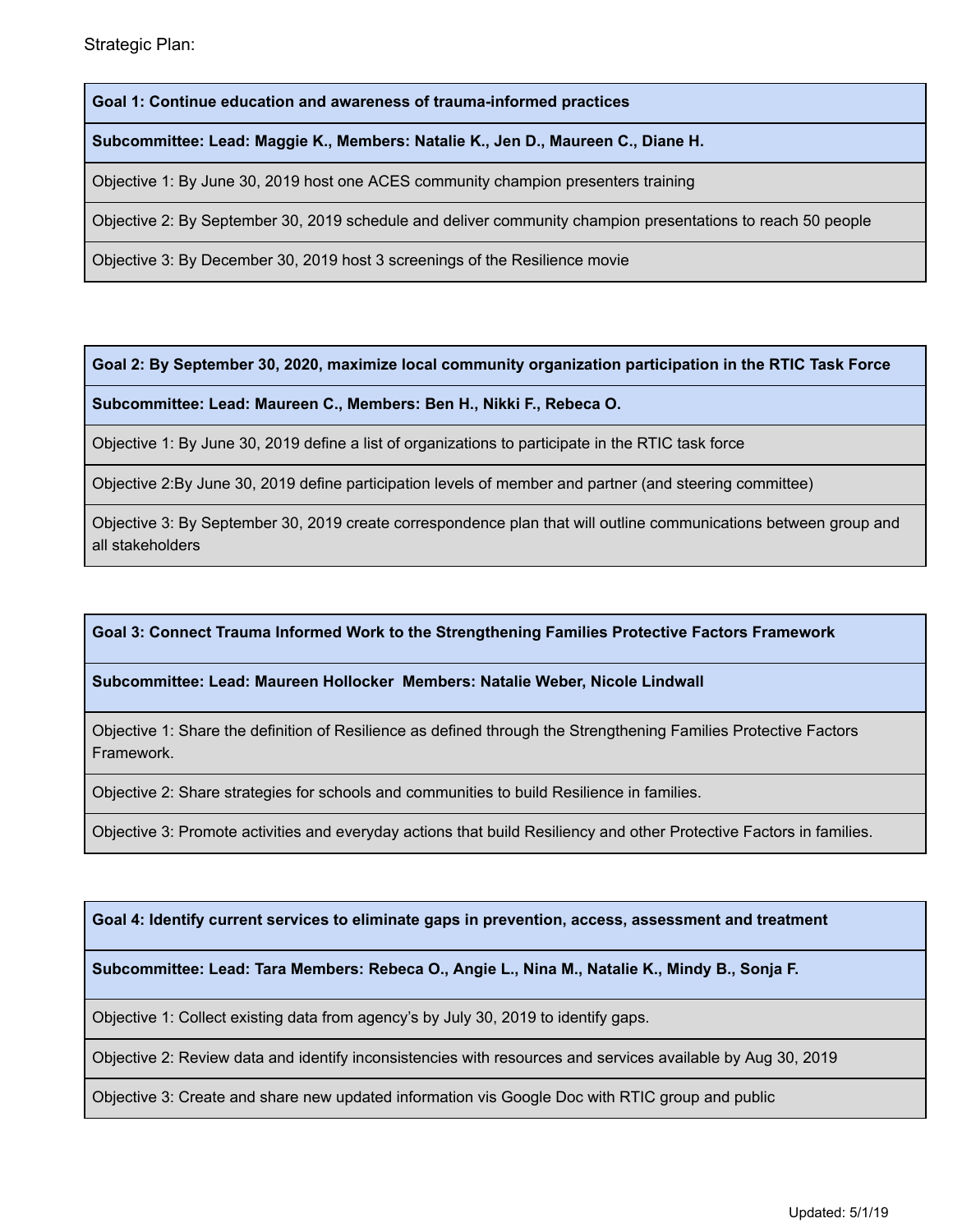**Goal 1: Continue education and awareness of trauma-informed practices**

**Subcommittee: Lead: Maggie K., Members: Natalie K., Jen D., Maureen C., Diane H.**

Objective 1: By June 30, 2019 host one ACES community champion presenters training

Objective 2: By September 30, 2019 schedule and deliver community champion presentations to reach 50 people

Objective 3: By December 30, 2019 host 3 screenings of the Resilience movie

**Goal 2: By September 30, 2020, maximize local community organization participation in the RTIC Task Force**

**Subcommittee: Lead: Maureen C., Members: Ben H., Nikki F., Rebeca O.**

Objective 1: By June 30, 2019 define a list of organizations to participate in the RTIC task force

Objective 2:By June 30, 2019 define participation levels of member and partner (and steering committee)

Objective 3: By September 30, 2019 create correspondence plan that will outline communications between group and all stakeholders

### **Goal 3: Connect Trauma Informed Work to the Strengthening Families Protective Factors Framework**

### **Subcommittee: Lead: Maureen Hollocker Members: Natalie Weber, Nicole Lindwall**

Objective 1: Share the definition of Resilience as defined through the Strengthening Families Protective Factors Framework.

Objective 2: Share strategies for schools and communities to build Resilience in families.

Objective 3: Promote activities and everyday actions that build Resiliency and other Protective Factors in families.

**Goal 4: Identify current services to eliminate gaps in prevention, access, assessment and treatment**

**Subcommittee: Lead: Tara Members: Rebeca O., Angie L., Nina M., Natalie K., Mindy B., Sonja F.**

Objective 1: Collect existing data from agency's by July 30, 2019 to identify gaps.

Objective 2: Review data and identify inconsistencies with resources and services available by Aug 30, 2019

Objective 3: Create and share new updated information vis Google Doc with RTIC group and public